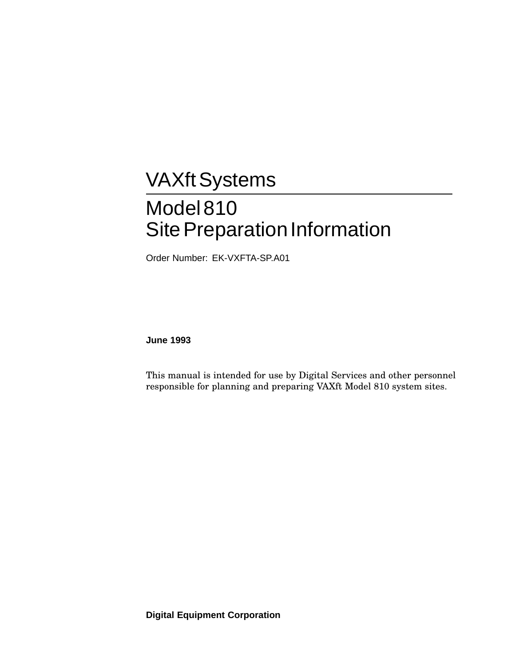# **VAXft Systems** Model 810 Site Preparation Information

Order Number: EK-VXFTA-SP.A01

**June 1993**

This manual is intended for use by Digital Services and other personnel responsible for planning and preparing VAXft Model 810 system sites.

**Digital Equipment Corporation**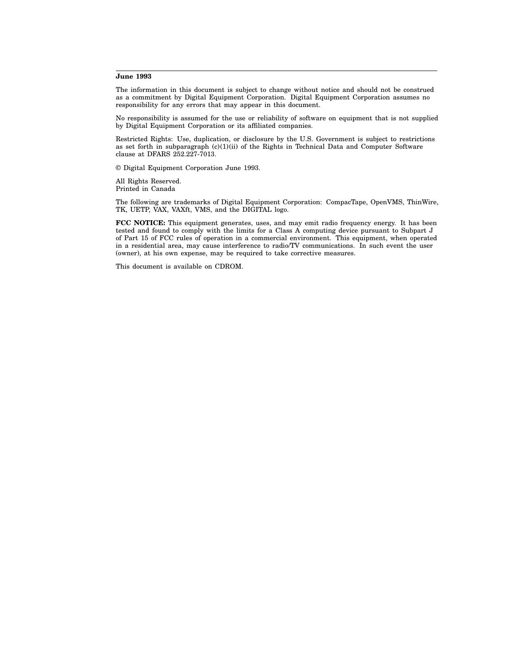#### **June 1993**

The information in this document is subject to change without notice and should not be construed as a commitment by Digital Equipment Corporation. Digital Equipment Corporation assumes no responsibility for any errors that may appear in this document.

No responsibility is assumed for the use or reliability of software on equipment that is not supplied by Digital Equipment Corporation or its affiliated companies.

Restricted Rights: Use, duplication, or disclosure by the U.S. Government is subject to restrictions as set forth in subparagraph  $(c)(1)(ii)$  of the Rights in Technical Data and Computer Software clause at DFARS 252.227-7013.

© Digital Equipment Corporation June 1993.

All Rights Reserved. Printed in Canada

The following are trademarks of Digital Equipment Corporation: CompacTape, OpenVMS, ThinWire, TK, UETP, VAX, VAXft, VMS, and the DIGITAL logo.

**FCC NOTICE:** This equipment generates, uses, and may emit radio frequency energy. It has been tested and found to comply with the limits for a Class A computing device pursuant to Subpart J of Part 15 of FCC rules of operation in a commercial environment. This equipment, when operated in a residential area, may cause interference to radio/TV communications. In such event the user (owner), at his own expense, may be required to take corrective measures.

This document is available on CDROM.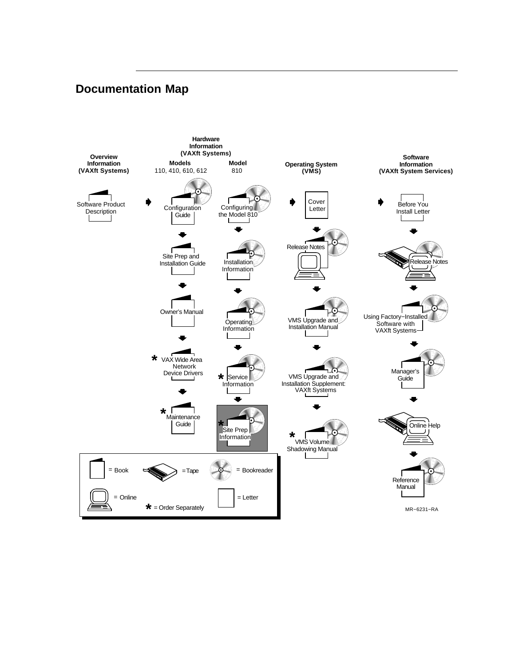## **Documentation Map**

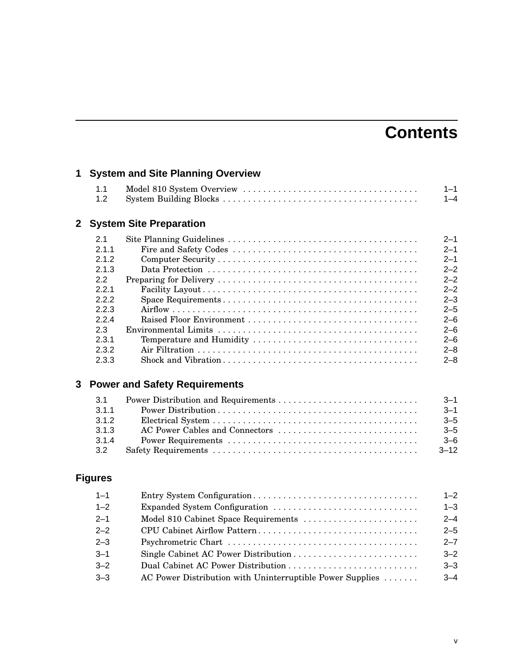# **Contents**

| 1            |                |                                      |          |
|--------------|----------------|--------------------------------------|----------|
|              | 1.1            |                                      | $1 - 1$  |
|              | 1.2            |                                      | $1 - 4$  |
| $\mathbf{2}$ |                | <b>System Site Preparation</b>       |          |
|              | 2.1            |                                      | $2 - 1$  |
|              | 2.1.1          |                                      | $2 - 1$  |
|              | 2.1.2          |                                      | $2 - 1$  |
|              | 2.1.3          |                                      | $2 - 2$  |
|              | 2.2            |                                      | $2 - 2$  |
|              | 2.2.1          |                                      | $2 - 2$  |
|              | 2.2.2          |                                      | $2 - 3$  |
|              | 2.2.3          |                                      | $2 - 5$  |
|              | 2.2.4          |                                      | $2 - 6$  |
|              | 2.3            |                                      | $2 - 6$  |
|              | 2.3.1          | Temperature and Humidity             | $2 - 6$  |
|              | 2.3.2          |                                      | $2 - 8$  |
|              | 2.3.3          |                                      | $2 - 8$  |
| 3            |                | <b>Power and Safety Requirements</b> |          |
|              | 3.1            |                                      | $3 - 1$  |
|              | 3.1.1          |                                      | $3 - 1$  |
|              | 3.1.2          |                                      | $3 - 5$  |
|              | 3.1.3          | AC Power Cables and Connectors       | $3 - 5$  |
|              | 3.1.4          |                                      | $3 - 6$  |
|              | 3.2            |                                      | $3 - 12$ |
|              | <b>Figures</b> |                                      |          |
|              | $1 - 1$        |                                      | $1 - 2$  |
|              | $1 - 2$        | Expanded System Configuration        | $1 - 3$  |
|              | $2 - 1$        | Model 810 Cabinet Space Requirements | $2 - 4$  |
|              | $2 - 2$        | CPU Cabinet Airflow Pattern          | $2 - 5$  |
|              | $2 - 3$        |                                      | $2 - 7$  |
|              | $3 - 1$        |                                      | $3 - 2$  |
|              | $3 - 2$        |                                      | $3 - 3$  |

3–3 AC Power Distribution with Uninterruptible Power Supplies . . . . . . . 3–4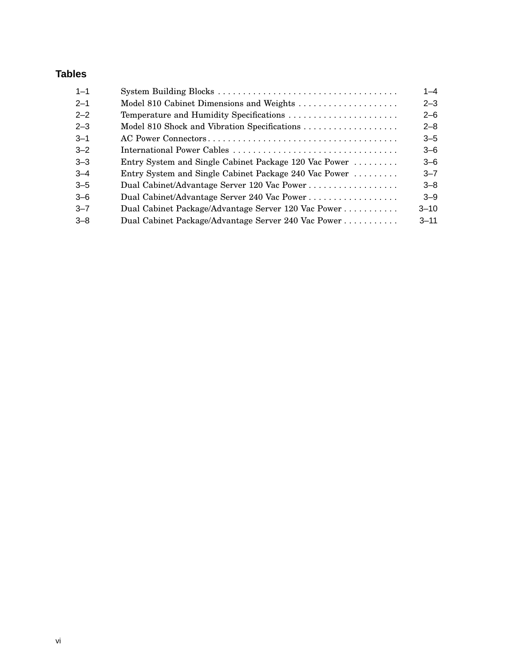## **Tables**

| $1 - 1$ |                                                       | $1 - 4$  |
|---------|-------------------------------------------------------|----------|
| $2 - 1$ | Model 810 Cabinet Dimensions and Weights              | $2 - 3$  |
| $2 - 2$ | Temperature and Humidity Specifications               | $2 - 6$  |
| $2 - 3$ | Model 810 Shock and Vibration Specifications          | $2 - 8$  |
| $3 - 1$ |                                                       | $3 - 5$  |
| $3 - 2$ |                                                       | $3 - 6$  |
| $3 - 3$ | Entry System and Single Cabinet Package 120 Vac Power | $3 - 6$  |
| $3 - 4$ | Entry System and Single Cabinet Package 240 Vac Power | $3 - 7$  |
| $3 - 5$ | Dual Cabinet/Advantage Server 120 Vac Power           | $3 - 8$  |
| $3 - 6$ | Dual Cabinet/Advantage Server 240 Vac Power           | $3 - 9$  |
| $3 - 7$ | Dual Cabinet Package/Advantage Server 120 Vac Power   | $3 - 10$ |
| $-8$    | Dual Cabinet Package/Advantage Server 240 Vac Power   | $3 - 11$ |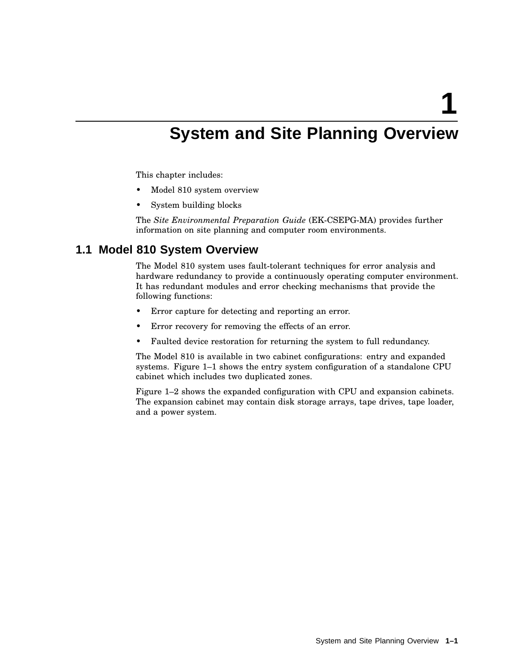**1**

# **System and Site Planning Overview**

This chapter includes:

- Model 810 system overview
- System building blocks

The *Site Environmental Preparation Guide* (EK-CSEPG-MA) provides further information on site planning and computer room environments.

## **1.1 Model 810 System Overview**

The Model 810 system uses fault-tolerant techniques for error analysis and hardware redundancy to provide a continuously operating computer environment. It has redundant modules and error checking mechanisms that provide the following functions:

- Error capture for detecting and reporting an error.
- Error recovery for removing the effects of an error.
- Faulted device restoration for returning the system to full redundancy.

The Model 810 is available in two cabinet configurations: entry and expanded systems. Figure 1–1 shows the entry system configuration of a standalone CPU cabinet which includes two duplicated zones.

Figure 1–2 shows the expanded configuration with CPU and expansion cabinets. The expansion cabinet may contain disk storage arrays, tape drives, tape loader, and a power system.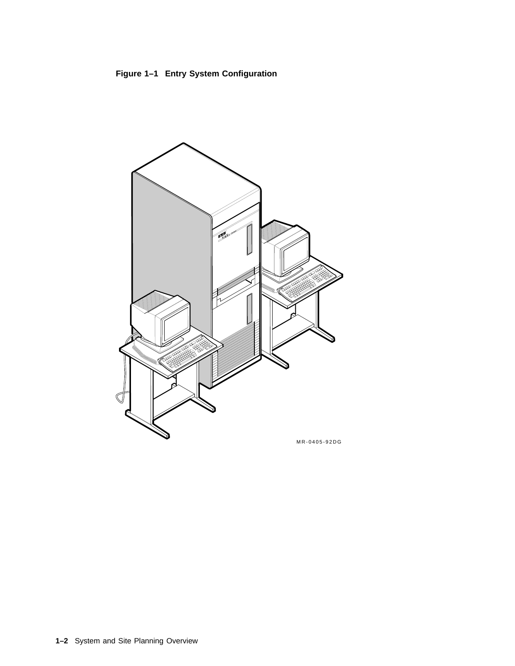

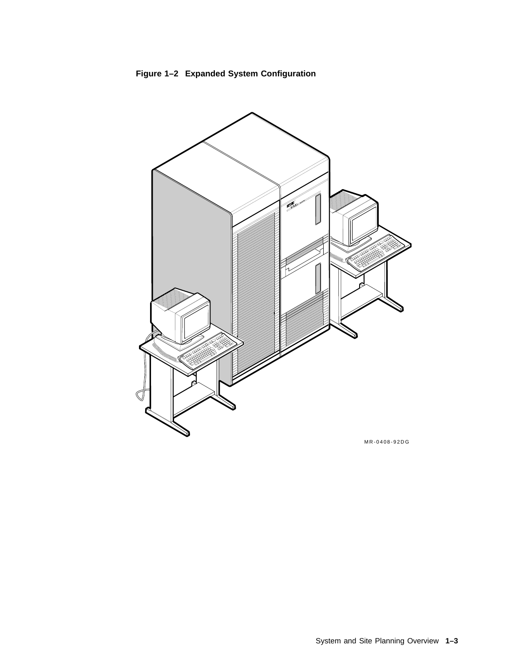

**Figure 1–2 Expanded System Configuration**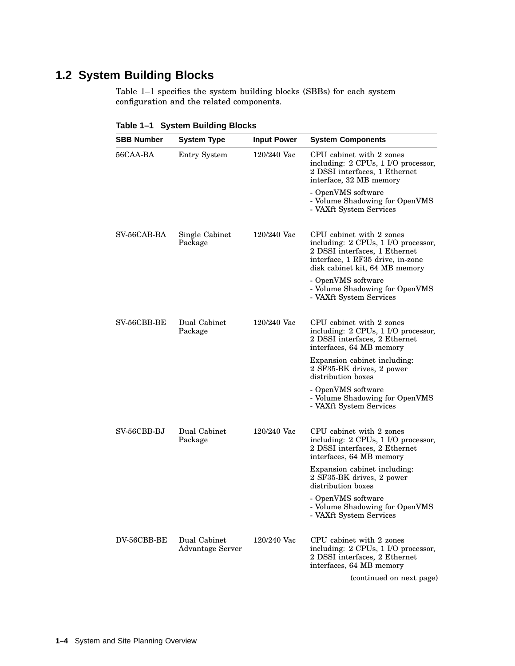## **1.2 System Building Blocks**

Table 1–1 specifies the system building blocks (SBBs) for each system configuration and the related components.

| <b>SBB Number</b> | <b>System Type</b>                      | <b>Input Power</b> | <b>System Components</b>                                                                                                                                               |
|-------------------|-----------------------------------------|--------------------|------------------------------------------------------------------------------------------------------------------------------------------------------------------------|
| 56CAA-BA          | Entry System                            | 120/240 Vac        | CPU cabinet with 2 zones<br>including: 2 CPUs, 1 I/O processor,<br>2 DSSI interfaces, 1 Ethernet<br>interface, 32 MB memory                                            |
|                   |                                         |                    | - OpenVMS software<br>- Volume Shadowing for OpenVMS<br>- VAXft System Services                                                                                        |
| SV-56CAB-BA       | Single Cabinet<br>Package               | $120/240$ Vac      | CPU cabinet with 2 zones<br>including: 2 CPUs, 1 I/O processor,<br>2 DSSI interfaces, 1 Ethernet<br>interface, 1 RF35 drive, in-zone<br>disk cabinet kit, 64 MB memory |
|                   |                                         |                    | - OpenVMS software<br>- Volume Shadowing for OpenVMS<br>- VAXft System Services                                                                                        |
| SV-56CBB-BE       | Dual Cabinet<br>Package                 | $120/240$ Vac      | CPU cabinet with 2 zones<br>including: 2 CPUs, 1 I/O processor,<br>2 DSSI interfaces, 2 Ethernet<br>interfaces, 64 MB memory                                           |
|                   |                                         |                    | Expansion cabinet including:<br>2 SF35-BK drives, 2 power<br>distribution boxes                                                                                        |
|                   |                                         |                    | - OpenVMS software<br>- Volume Shadowing for OpenVMS<br>- VAXft System Services                                                                                        |
| SV-56CBB-BJ       | Dual Cabinet<br>Package                 | $120/240$ Vac      | CPU cabinet with 2 zones<br>including: 2 CPUs, 1 I/O processor,<br>2 DSSI interfaces, 2 Ethernet<br>interfaces, 64 MB memory                                           |
|                   |                                         |                    | Expansion cabinet including:<br>2 SF35-BK drives, 2 power<br>distribution boxes                                                                                        |
|                   |                                         |                    | - OpenVMS software<br>Volume Shadowing for OpenVMS<br>- VAXft System Services                                                                                          |
| DV-56CBB-BE       | Dual Cabinet<br><b>Advantage Server</b> | $120/240$ Vac      | CPU cabinet with 2 zones<br>including: 2 CPUs, 1 I/O processor,<br>2 DSSI interfaces, 2 Ethernet<br>interfaces, 64 MB memory                                           |
|                   |                                         |                    | (continued on next page)                                                                                                                                               |

**Table 1–1 System Building Blocks**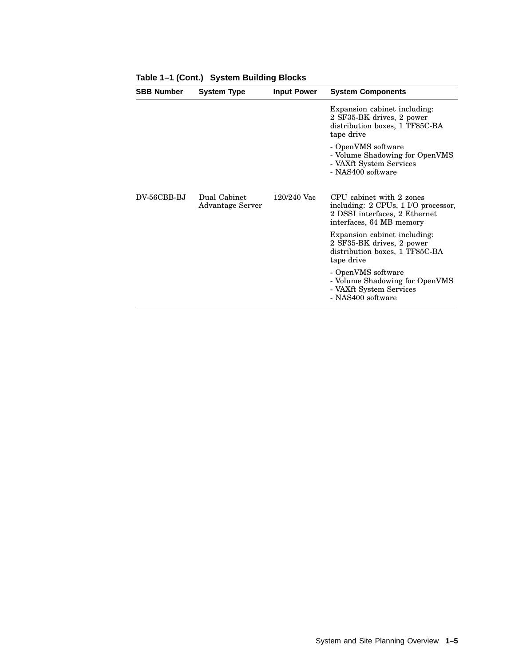| <b>SBB Number</b> | <b>System Type</b>               | <b>Input Power</b> | <b>System Components</b>                                                                                                     |
|-------------------|----------------------------------|--------------------|------------------------------------------------------------------------------------------------------------------------------|
|                   |                                  |                    | Expansion cabinet including:<br>2 SF35-BK drives, 2 power<br>distribution boxes, 1 TF85C-BA<br>tape drive                    |
|                   |                                  |                    | - OpenVMS software<br>- Volume Shadowing for OpenVMS<br>- VAXft System Services<br>- NAS400 software                         |
| $DV-56CBB-BJ$     | Dual Cabinet<br>Advantage Server | $120/240$ Vac      | CPU cabinet with 2 zones<br>including: 2 CPUs, 1 I/O processor,<br>2 DSSI interfaces, 2 Ethernet<br>interfaces, 64 MB memory |
|                   |                                  |                    | Expansion cabinet including:<br>2 SF35-BK drives, 2 power<br>distribution boxes, 1 TF85C-BA<br>tape drive                    |
|                   |                                  |                    | - OpenVMS software<br>- Volume Shadowing for OpenVMS<br>- VAXft System Services<br>- NAS400 software                         |

**Table 1–1 (Cont.) System Building Blocks**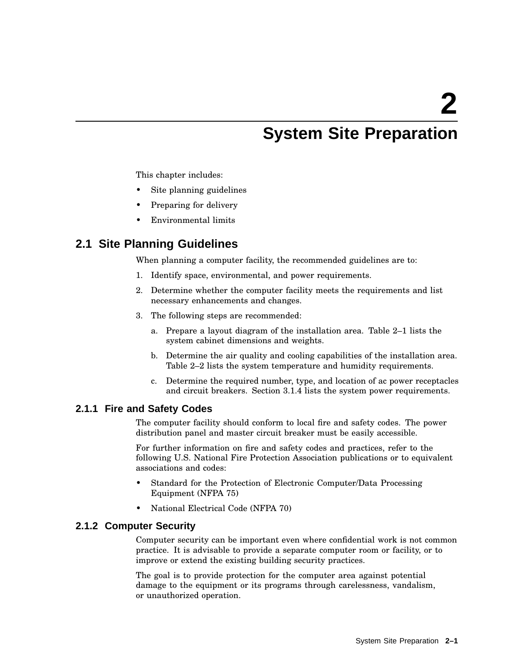# **System Site Preparation**

This chapter includes:

- Site planning guidelines
- Preparing for delivery
- Environmental limits

## **2.1 Site Planning Guidelines**

When planning a computer facility, the recommended guidelines are to:

- 1. Identify space, environmental, and power requirements.
- 2. Determine whether the computer facility meets the requirements and list necessary enhancements and changes.
- 3. The following steps are recommended:
	- a. Prepare a layout diagram of the installation area. Table 2–1 lists the system cabinet dimensions and weights.
	- b. Determine the air quality and cooling capabilities of the installation area. Table 2–2 lists the system temperature and humidity requirements.
	- c. Determine the required number, type, and location of ac power receptacles and circuit breakers. Section 3.1.4 lists the system power requirements.

### **2.1.1 Fire and Safety Codes**

The computer facility should conform to local fire and safety codes. The power distribution panel and master circuit breaker must be easily accessible.

For further information on fire and safety codes and practices, refer to the following U.S. National Fire Protection Association publications or to equivalent associations and codes:

- Standard for the Protection of Electronic Computer/Data Processing Equipment (NFPA 75)
- National Electrical Code (NFPA 70)

### **2.1.2 Computer Security**

Computer security can be important even where confidential work is not common practice. It is advisable to provide a separate computer room or facility, or to improve or extend the existing building security practices.

The goal is to provide protection for the computer area against potential damage to the equipment or its programs through carelessness, vandalism, or unauthorized operation.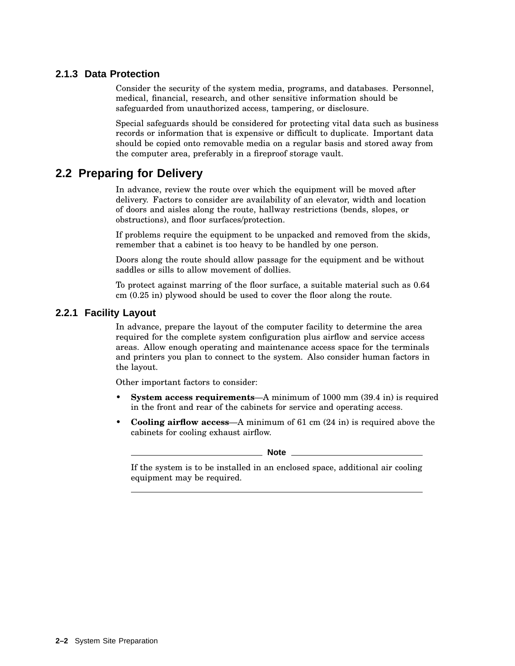## **2.1.3 Data Protection**

Consider the security of the system media, programs, and databases. Personnel, medical, financial, research, and other sensitive information should be safeguarded from unauthorized access, tampering, or disclosure.

Special safeguards should be considered for protecting vital data such as business records or information that is expensive or difficult to duplicate. Important data should be copied onto removable media on a regular basis and stored away from the computer area, preferably in a fireproof storage vault.

## **2.2 Preparing for Delivery**

In advance, review the route over which the equipment will be moved after delivery. Factors to consider are availability of an elevator, width and location of doors and aisles along the route, hallway restrictions (bends, slopes, or obstructions), and floor surfaces/protection.

If problems require the equipment to be unpacked and removed from the skids, remember that a cabinet is too heavy to be handled by one person.

Doors along the route should allow passage for the equipment and be without saddles or sills to allow movement of dollies.

To protect against marring of the floor surface, a suitable material such as 0.64 cm (0.25 in) plywood should be used to cover the floor along the route.

## **2.2.1 Facility Layout**

In advance, prepare the layout of the computer facility to determine the area required for the complete system configuration plus airflow and service access areas. Allow enough operating and maintenance access space for the terminals and printers you plan to connect to the system. Also consider human factors in the layout.

Other important factors to consider:

- **System access requirements**—A minimum of 1000 mm (39.4 in) is required in the front and rear of the cabinets for service and operating access.
- **Cooling airflow access**—A minimum of 61 cm (24 in) is required above the cabinets for cooling exhaust airflow.

**Note** \_\_

If the system is to be installed in an enclosed space, additional air cooling equipment may be required.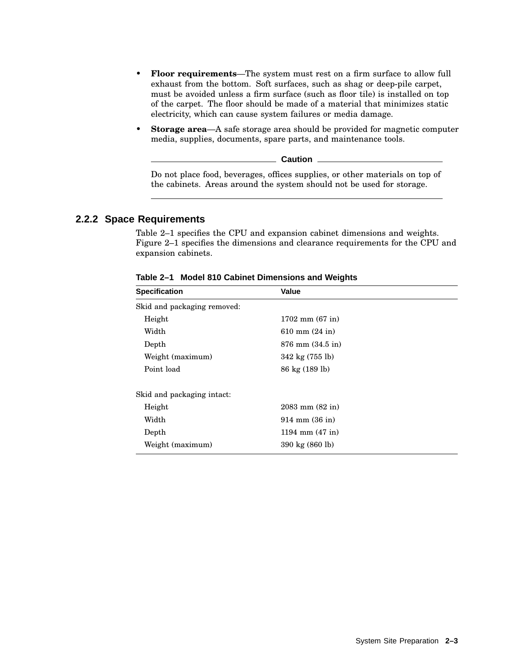- **Floor requirements**—The system must rest on a firm surface to allow full exhaust from the bottom. Soft surfaces, such as shag or deep-pile carpet, must be avoided unless a firm surface (such as floor tile) is installed on top of the carpet. The floor should be made of a material that minimizes static electricity, which can cause system failures or media damage.
- **Storage area**—A safe storage area should be provided for magnetic computer media, supplies, documents, spare parts, and maintenance tools.

**Caution**

Do not place food, beverages, offices supplies, or other materials on top of the cabinets. Areas around the system should not be used for storage.

#### **2.2.2 Space Requirements**

Table 2–1 specifies the CPU and expansion cabinet dimensions and weights. Figure 2–1 specifies the dimensions and clearance requirements for the CPU and expansion cabinets.

| <b>Specification</b>        | Value                        |  |  |
|-----------------------------|------------------------------|--|--|
| Skid and packaging removed: |                              |  |  |
| Height                      | $1702$ mm $(67$ in)          |  |  |
| Width                       | 610 mm $(24 \text{ in})$     |  |  |
| Depth                       | $876$ mm $(34.5 \text{ in})$ |  |  |
| Weight (maximum)            | 342 kg (755 lb)              |  |  |
| Point load                  | 86 kg (189 lb)               |  |  |
| Skid and packaging intact:  |                              |  |  |
| Height                      | $2083$ mm $(82$ in)          |  |  |
| Width                       | $914 \; \text{mm}$ (36 in)   |  |  |
| Depth                       | 1194 mm $(47 \text{ in})$    |  |  |
| Weight (maximum)            | 390 kg (860 lb)              |  |  |

**Table 2–1 Model 810 Cabinet Dimensions and Weights**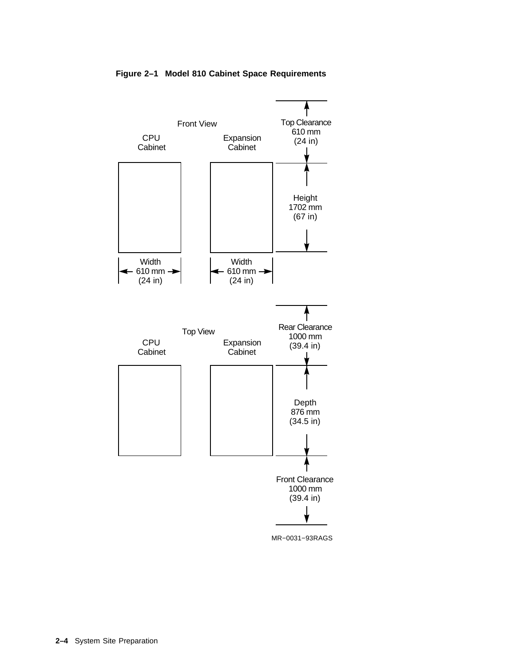

#### **Figure 2–1 Model 810 Cabinet Space Requirements**

MR−0031−93RAGS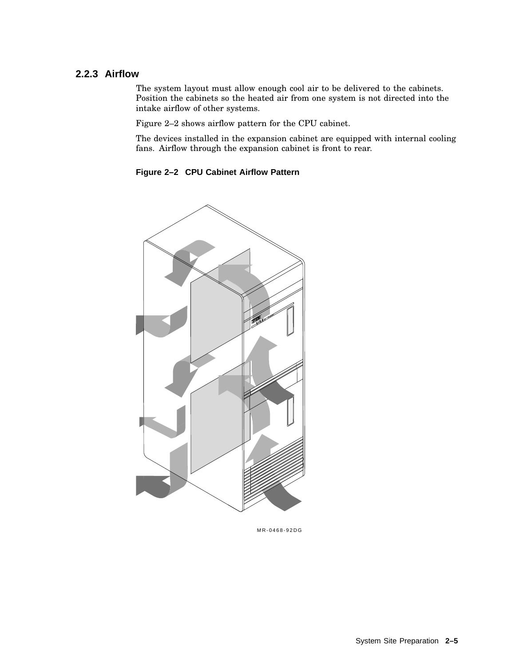### **2.2.3 Airflow**

The system layout must allow enough cool air to be delivered to the cabinets. Position the cabinets so the heated air from one system is not directed into the intake airflow of other systems.

Figure 2–2 shows airflow pattern for the CPU cabinet.

The devices installed in the expansion cabinet are equipped with internal cooling fans. Airflow through the expansion cabinet is front to rear.





MR-0468-92DG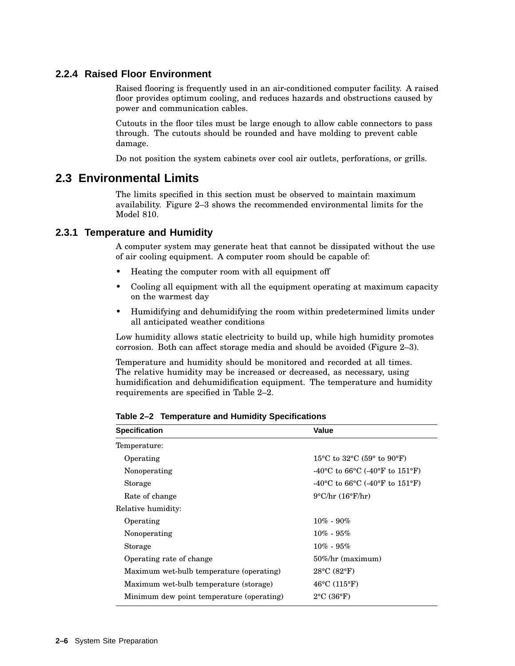## **2.2.4 Raised Floor Environment**

Raised flooring is frequently used in an air-conditioned computer facility. A raised floor provides optimum cooling, and reduces hazards and obstructions caused by power and communication cables.

Cutouts in the floor tiles must be large enough to allow cable connectors to pass through. The cutouts should be rounded and have molding to prevent cable damage.

Do not position the system cabinets over cool air outlets, perforations, or grills.

## **2.3 Environmental Limits**

The limits specified in this section must be observed to maintain maximum availability. Figure 2–3 shows the recommended environmental limits for the Model 810.

### **2.3.1 Temperature and Humidity**

A computer system may generate heat that cannot be dissipated without the use of air cooling equipment. A computer room should be capable of:

- Heating the computer room with all equipment off
- Cooling all equipment with all the equipment operating at maximum capacity on the warmest day
- Humidifying and dehumidifying the room within predetermined limits under all anticipated weather conditions

Low humidity allows static electricity to build up, while high humidity promotes corrosion. Both can affect storage media and should be avoided (Figure 2–3).

Temperature and humidity should be monitored and recorded at all times. The relative humidity may be increased or decreased, as necessary, using humidification and dehumidification equipment. The temperature and humidity requirements are specified in Table 2–2.

| Value                                   |
|-----------------------------------------|
|                                         |
| 15 °C to 32 °C (59 $^{\circ}$ to 90 °F) |
| -40 °C to 66 °C (-40 °F to 151 °F)      |
| -40 °C to 66 °C (-40 °F to 151 °F)      |
| $9^{\circ}$ C/hr $(16^{\circ}$ F/hr)    |
|                                         |
| $10\% - 90\%$                           |
| $10\% - 95\%$                           |
| $10\% - 95\%$                           |
| $50\%$ /hr (maximum)                    |
| $28^{\circ}$ C (82 $^{\circ}$ F)        |
| $46^{\circ}$ C (115 $^{\circ}$ F)       |
| $2^{\circ}$ C (36 $^{\circ}$ F)         |
|                                         |

**Table 2–2 Temperature and Humidity Specifications**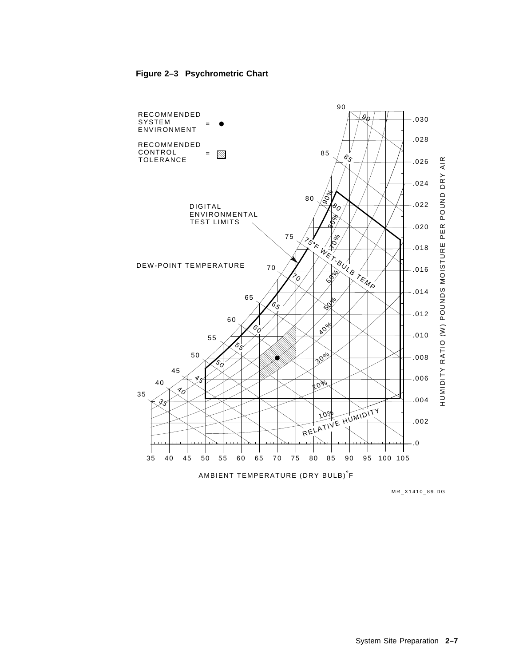

#### **Figure 2–3 Psychrometric Chart**

MR\_X1410\_89.DG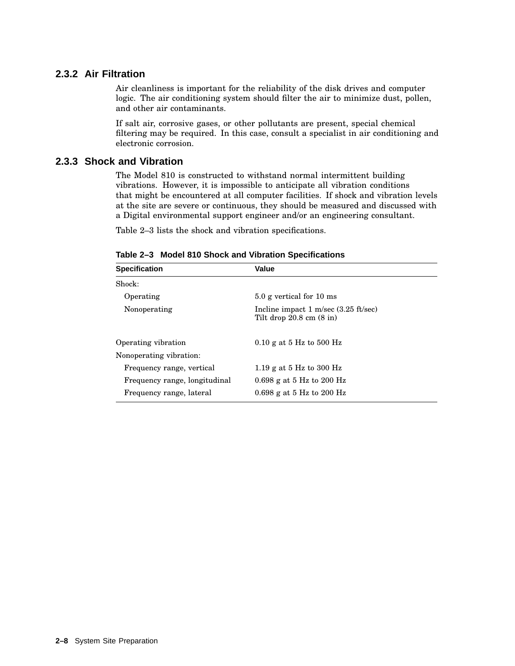## **2.3.2 Air Filtration**

Air cleanliness is important for the reliability of the disk drives and computer logic. The air conditioning system should filter the air to minimize dust, pollen, and other air contaminants.

If salt air, corrosive gases, or other pollutants are present, special chemical filtering may be required. In this case, consult a specialist in air conditioning and electronic corrosion.

## **2.3.3 Shock and Vibration**

The Model 810 is constructed to withstand normal intermittent building vibrations. However, it is impossible to anticipate all vibration conditions that might be encountered at all computer facilities. If shock and vibration levels at the site are severe or continuous, they should be measured and discussed with a Digital environmental support engineer and/or an engineering consultant.

Table 2–3 lists the shock and vibration specifications.

| <b>Specification</b>          | Value                                                                                         |  |  |
|-------------------------------|-----------------------------------------------------------------------------------------------|--|--|
| Shock:                        |                                                                                               |  |  |
| Operating                     | 5.0 g vertical for 10 ms                                                                      |  |  |
| Nonoperating                  | Incline impact $1 \text{ m/sec}$ (3.25 ft/sec)<br>Tilt drop $20.8 \text{ cm } (8 \text{ in})$ |  |  |
| Operating vibration           | 0.10 g at 5 Hz to 500 Hz                                                                      |  |  |
| Nonoperating vibration:       |                                                                                               |  |  |
| Frequency range, vertical     | 1.19 g at 5 Hz to 300 Hz                                                                      |  |  |
| Frequency range, longitudinal | 0.698 g at 5 Hz to 200 Hz                                                                     |  |  |
| Frequency range, lateral      | 0.698 g at 5 Hz to 200 Hz                                                                     |  |  |

**Table 2–3 Model 810 Shock and Vibration Specifications**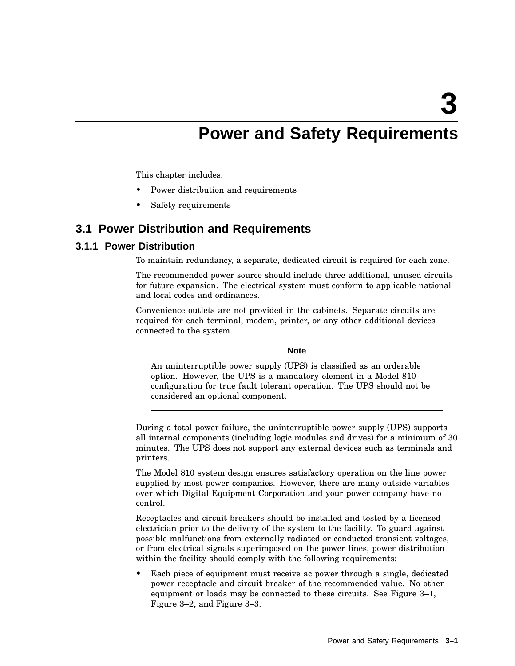**3**

## **Power and Safety Requirements**

This chapter includes:

- Power distribution and requirements
- Safety requirements

## **3.1 Power Distribution and Requirements**

## **3.1.1 Power Distribution**

To maintain redundancy, a separate, dedicated circuit is required for each zone.

The recommended power source should include three additional, unused circuits for future expansion. The electrical system must conform to applicable national and local codes and ordinances.

Convenience outlets are not provided in the cabinets. Separate circuits are required for each terminal, modem, printer, or any other additional devices connected to the system.

**Note**

An uninterruptible power supply (UPS) is classified as an orderable option. However, the UPS is a mandatory element in a Model 810 configuration for true fault tolerant operation. The UPS should not be considered an optional component.

During a total power failure, the uninterruptible power supply (UPS) supports all internal components (including logic modules and drives) for a minimum of 30 minutes. The UPS does not support any external devices such as terminals and printers.

The Model 810 system design ensures satisfactory operation on the line power supplied by most power companies. However, there are many outside variables over which Digital Equipment Corporation and your power company have no control.

Receptacles and circuit breakers should be installed and tested by a licensed electrician prior to the delivery of the system to the facility. To guard against possible malfunctions from externally radiated or conducted transient voltages, or from electrical signals superimposed on the power lines, power distribution within the facility should comply with the following requirements:

Each piece of equipment must receive ac power through a single, dedicated power receptacle and circuit breaker of the recommended value. No other equipment or loads may be connected to these circuits. See Figure 3–1, Figure 3–2, and Figure 3–3.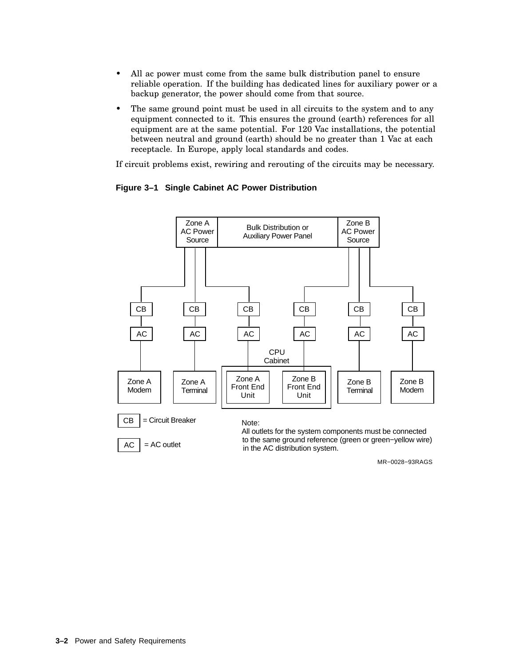- All ac power must come from the same bulk distribution panel to ensure reliable operation. If the building has dedicated lines for auxiliary power or a backup generator, the power should come from that source.
- The same ground point must be used in all circuits to the system and to any equipment connected to it. This ensures the ground (earth) references for all equipment are at the same potential. For 120 Vac installations, the potential between neutral and ground (earth) should be no greater than 1 Vac at each receptacle. In Europe, apply local standards and codes.

If circuit problems exist, rewiring and rerouting of the circuits may be necessary.



#### **Figure 3–1 Single Cabinet AC Power Distribution**

MR−0028−93RAGS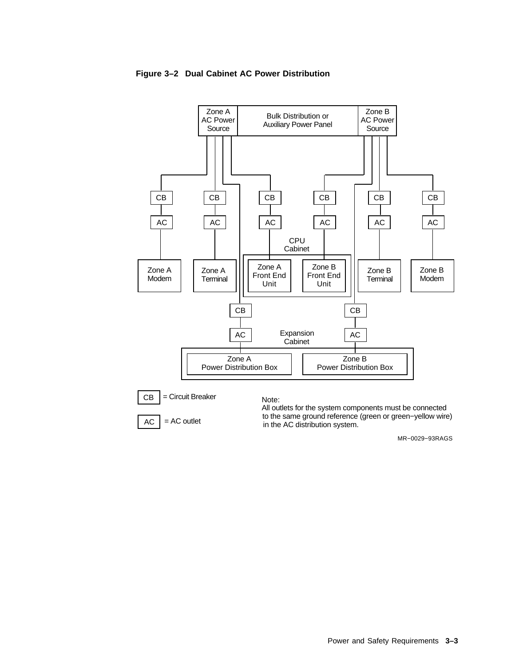

in the AC distribution system.

#### **Figure 3–2 Dual Cabinet AC Power Distribution**

= AC outlet AC

MR−0029−93RAGS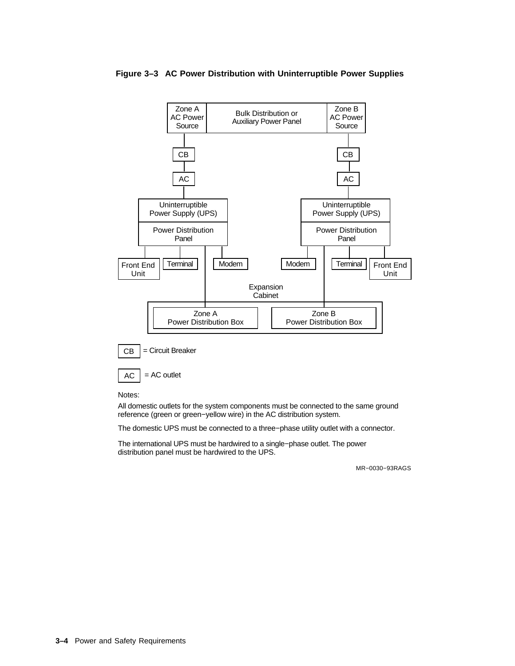

#### **Figure 3–3 AC Power Distribution with Uninterruptible Power Supplies**

Notes:

All domestic outlets for the system components must be connected to the same ground reference (green or green−yellow wire) in the AC distribution system.

The domestic UPS must be connected to a three−phase utility outlet with a connector.

The international UPS must be hardwired to a single−phase outlet. The power distribution panel must be hardwired to the UPS.

MR−0030−93RAGS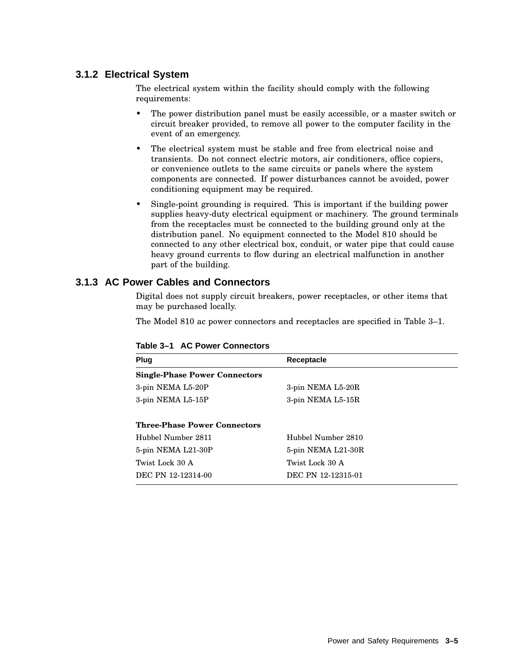## **3.1.2 Electrical System**

The electrical system within the facility should comply with the following requirements:

- The power distribution panel must be easily accessible, or a master switch or circuit breaker provided, to remove all power to the computer facility in the event of an emergency.
- The electrical system must be stable and free from electrical noise and transients. Do not connect electric motors, air conditioners, office copiers, or convenience outlets to the same circuits or panels where the system components are connected. If power disturbances cannot be avoided, power conditioning equipment may be required.
- Single-point grounding is required. This is important if the building power supplies heavy-duty electrical equipment or machinery. The ground terminals from the receptacles must be connected to the building ground only at the distribution panel. No equipment connected to the Model 810 should be connected to any other electrical box, conduit, or water pipe that could cause heavy ground currents to flow during an electrical malfunction in another part of the building.

## **3.1.3 AC Power Cables and Connectors**

Digital does not supply circuit breakers, power receptacles, or other items that may be purchased locally.

The Model 810 ac power connectors and receptacles are specified in Table 3–1.

| Plug                                 | Receptacle         |  |  |  |
|--------------------------------------|--------------------|--|--|--|
| <b>Single-Phase Power Connectors</b> |                    |  |  |  |
| 3-pin NEMA L5-20P                    | 3-pin NEMA L5-20R  |  |  |  |
| 3-pin NEMA L5-15P                    | 3-pin NEMA L5-15R  |  |  |  |
| <b>Three-Phase Power Connectors</b>  |                    |  |  |  |
| Hubbel Number 2811                   | Hubbel Number 2810 |  |  |  |
| 5-pin NEMA L21-30P                   | 5-pin NEMA L21-30R |  |  |  |
| Twist Lock 30 A                      | Twist Lock 30 A    |  |  |  |
| DEC PN 12-12314-00                   | DEC PN 12-12315-01 |  |  |  |

#### **Table 3–1 AC Power Connectors**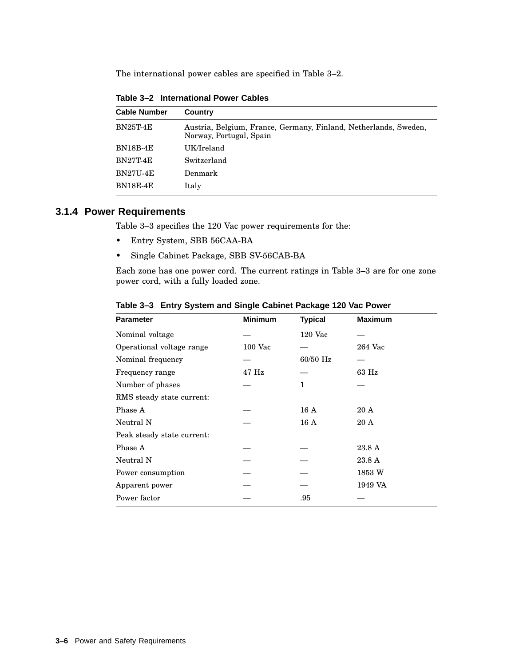The international power cables are specified in Table 3–2.

| <b>Cable Number</b> | Country                                                                                     |
|---------------------|---------------------------------------------------------------------------------------------|
| <b>BN25T-4E</b>     | Austria, Belgium, France, Germany, Finland, Netherlands, Sweden,<br>Norway, Portugal, Spain |
| <b>BN18B-4E</b>     | UK/Ireland                                                                                  |
| <b>BN27T-4E</b>     | Switzerland                                                                                 |
| <b>BN27U-4E</b>     | Denmark                                                                                     |
| <b>BN18E-4E</b>     | Italy                                                                                       |

**Table 3–2 International Power Cables**

## **3.1.4 Power Requirements**

Table 3–3 specifies the 120 Vac power requirements for the:

- Entry System, SBB 56CAA-BA
- Single Cabinet Package, SBB SV-56CAB-BA

Each zone has one power cord. The current ratings in Table 3–3 are for one zone power cord, with a fully loaded zone.

| <b>Parameter</b>           | <b>Minimum</b> | <b>Typical</b> | <b>Maximum</b> |  |
|----------------------------|----------------|----------------|----------------|--|
| Nominal voltage            |                | 120 Vac        |                |  |
| Operational voltage range  | $100$ Vac      |                | 264 Vac        |  |
| Nominal frequency          |                | 60/50 Hz       |                |  |
| Frequency range            | $47$ Hz        |                | 63 Hz          |  |
| Number of phases           |                | 1              |                |  |
| RMS steady state current:  |                |                |                |  |
| Phase A                    |                | 16A            | 20A            |  |
| Neutral N                  |                | 16A            | 20A            |  |
| Peak steady state current: |                |                |                |  |
| Phase A                    |                |                | 23.8 A         |  |
| Neutral N                  |                |                | 23.8 A         |  |
| Power consumption          |                |                | 1853 W         |  |
| Apparent power             |                |                | 1949 VA        |  |
| Power factor               |                | .95            |                |  |
|                            |                |                |                |  |

**Table 3–3 Entry System and Single Cabinet Package 120 Vac Power**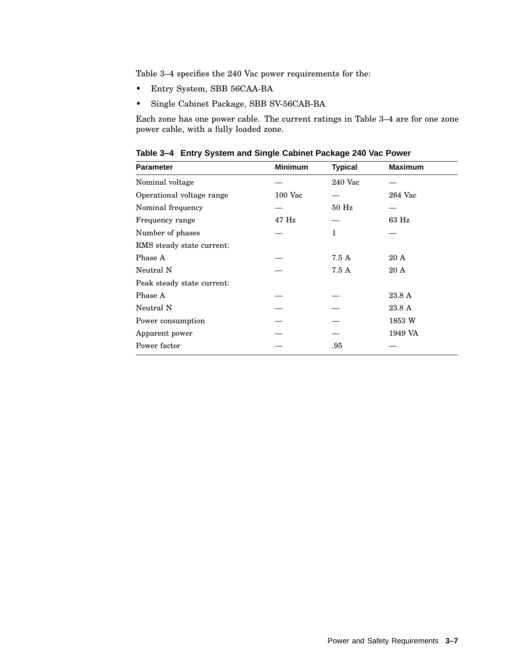Table 3–4 specifies the 240 Vac power requirements for the:

- Entry System, SBB 56CAA-BA
- Single Cabinet Package, SBB SV-56CAB-BA

Each zone has one power cable. The current ratings in Table 3–4 are for one zone power cable, with a fully loaded zone.

**Table 3–4 Entry System and Single Cabinet Package 240 Vac Power**

| <b>Parameter</b>           | <b>Minimum</b> | <b>Typical</b> | <b>Maximum</b> |  |
|----------------------------|----------------|----------------|----------------|--|
| Nominal voltage            |                | 240 Vac        |                |  |
| Operational voltage range  | $100$ Vac      |                | 264 Vac        |  |
| Nominal frequency          |                | $50$ Hz        |                |  |
| Frequency range            | 47 Hz          |                | 63 Hz          |  |
| Number of phases           |                | 1              |                |  |
| RMS steady state current:  |                |                |                |  |
| Phase A                    |                | 7.5 A          | 20A            |  |
| Neutral N                  |                | 7.5 A          | 20A            |  |
| Peak steady state current: |                |                |                |  |
| Phase A                    |                |                | 23.8 A         |  |
| Neutral N                  |                |                | 23.8 A         |  |
| Power consumption          |                |                | 1853 W         |  |
| Apparent power             |                |                | 1949 VA        |  |
| Power factor               |                | .95            |                |  |
|                            |                |                |                |  |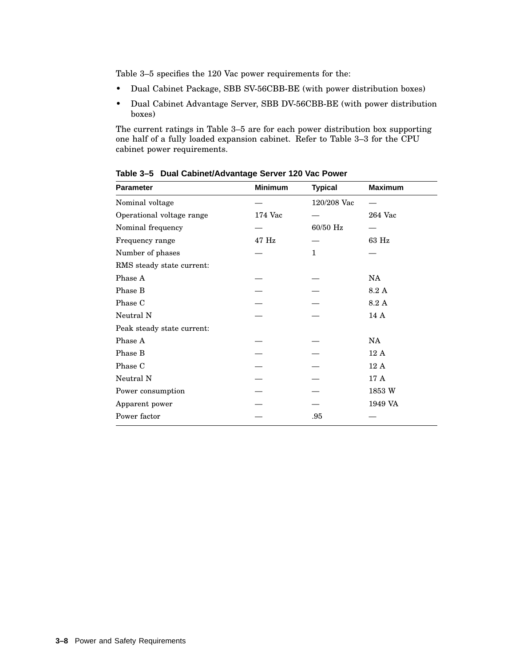Table 3–5 specifies the 120 Vac power requirements for the:

- Dual Cabinet Package, SBB SV-56CBB-BE (with power distribution boxes)
- Dual Cabinet Advantage Server, SBB DV-56CBB-BE (with power distribution boxes)

The current ratings in Table 3–5 are for each power distribution box supporting one half of a fully loaded expansion cabinet. Refer to Table 3–3 for the CPU cabinet power requirements.

| <b>Minimum</b> | <b>Typical</b> | <b>Maximum</b> |
|----------------|----------------|----------------|
|                | 120/208 Vac    |                |
| 174 Vac        |                | 264 Vac        |
|                | 60/50 Hz       |                |
| 47 Hz          |                | 63 Hz          |
|                | $\mathbf{1}$   |                |
|                |                |                |
|                |                | NA             |
|                |                | 8.2A           |
|                |                | 8.2 A          |
|                |                | 14 A           |
|                |                |                |
|                |                | NA             |
|                |                | 12A            |
|                |                | 12A            |
|                |                | 17 A           |
|                |                | 1853 W         |
|                |                | 1949 VA        |
|                | .95            |                |
|                |                |                |

**Table 3–5 Dual Cabinet/Advantage Server 120 Vac Power**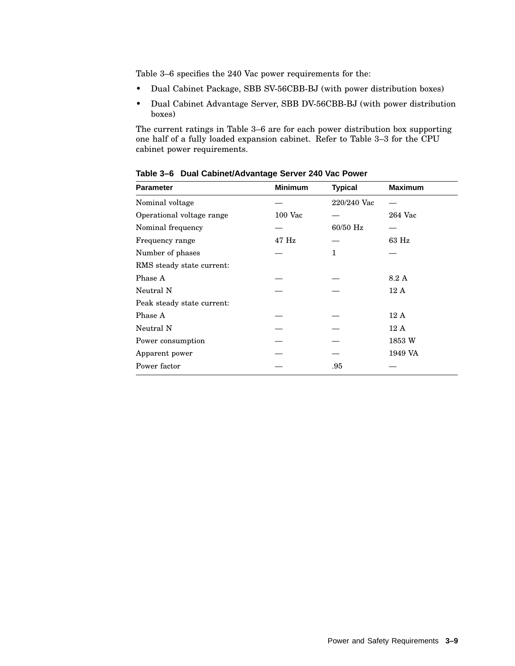Table 3–6 specifies the 240 Vac power requirements for the:

- Dual Cabinet Package, SBB SV-56CBB-BJ (with power distribution boxes)
- Dual Cabinet Advantage Server, SBB DV-56CBB-BJ (with power distribution boxes)

The current ratings in Table 3–6 are for each power distribution box supporting one half of a fully loaded expansion cabinet. Refer to Table 3–3 for the CPU cabinet power requirements.

| <b>Parameter</b>           | <b>Minimum</b> | <b>Typical</b> | <b>Maximum</b> |
|----------------------------|----------------|----------------|----------------|
| Nominal voltage            |                | 220/240 Vac    |                |
| Operational voltage range  | 100 Vac        |                | 264 Vac        |
| Nominal frequency          |                | 60/50 Hz       |                |
| Frequency range            | $47$ Hz        |                | 63 Hz          |
| Number of phases           |                | 1              |                |
| RMS steady state current:  |                |                |                |
| Phase A                    |                |                | 8.2A           |
| Neutral N                  |                |                | 12A            |
| Peak steady state current: |                |                |                |
| Phase A                    |                |                | 12A            |
| Neutral N                  |                |                | 12A            |
| Power consumption          |                |                | 1853 W         |
| Apparent power             |                |                | 1949 VA        |
| Power factor               |                | .95            |                |

**Table 3–6 Dual Cabinet/Advantage Server 240 Vac Power**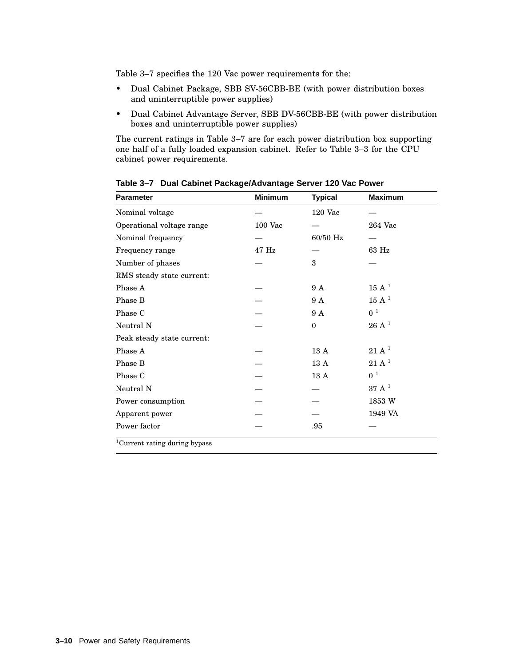Table 3–7 specifies the 120 Vac power requirements for the:

- Dual Cabinet Package, SBB SV-56CBB-BE (with power distribution boxes and uninterruptible power supplies)
- Dual Cabinet Advantage Server, SBB DV-56CBB-BE (with power distribution boxes and uninterruptible power supplies)

The current ratings in Table 3–7 are for each power distribution box supporting one half of a fully loaded expansion cabinet. Refer to Table 3–3 for the CPU cabinet power requirements.

| <b>Parameter</b>                          | <b>Minimum</b> | <b>Typical</b> | <b>Maximum</b>              |
|-------------------------------------------|----------------|----------------|-----------------------------|
| Nominal voltage                           |                | $120$ Vac      |                             |
| Operational voltage range                 | <b>100 Vac</b> |                | 264 Vac                     |
| Nominal frequency                         |                | 60/50 Hz       |                             |
| Frequency range                           | 47 Hz          |                | 63 Hz                       |
| Number of phases                          |                | 3              |                             |
| RMS steady state current:                 |                |                |                             |
| Phase A                                   |                | 9 A            | $15~\mathrm{A}~^1$          |
| Phase B                                   |                | 9 A            | $15 \text{ A}$ <sup>1</sup> |
| Phase C                                   |                | 9 A            | 0 <sup>1</sup>              |
| Neutral N                                 |                | $\theta$       | $26$ A $^1$                 |
| Peak steady state current:                |                |                |                             |
| Phase A                                   |                | 13A            | $21 \text{ A}^1$            |
| Phase B                                   |                | 13A            | $21 \text{ A}^1$            |
| Phase C                                   |                | 13 A           | 0 <sup>1</sup>              |
| Neutral N                                 |                |                | $37 \text{ A}^1$            |
| Power consumption                         |                |                | 1853 W                      |
| Apparent power                            |                |                | 1949 VA                     |
| Power factor                              |                | .95            |                             |
| <sup>1</sup> Current rating during bypass |                |                |                             |

**Table 3–7 Dual Cabinet Package/Advantage Server 120 Vac Power**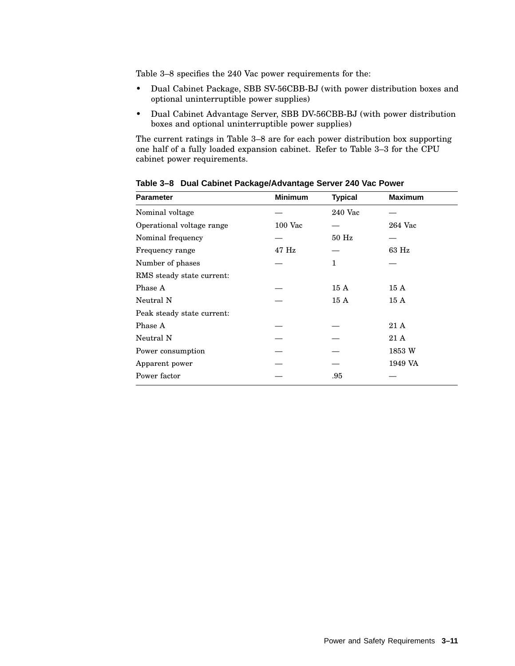Table 3–8 specifies the 240 Vac power requirements for the:

- Dual Cabinet Package, SBB SV-56CBB-BJ (with power distribution boxes and optional uninterruptible power supplies)
- Dual Cabinet Advantage Server, SBB DV-56CBB-BJ (with power distribution boxes and optional uninterruptible power supplies)

The current ratings in Table 3–8 are for each power distribution box supporting one half of a fully loaded expansion cabinet. Refer to Table 3–3 for the CPU cabinet power requirements.

| <b>Parameter</b>           | <b>Minimum</b> | <b>Typical</b> | <b>Maximum</b> |
|----------------------------|----------------|----------------|----------------|
| Nominal voltage            |                | 240 Vac        |                |
| Operational voltage range  | $100$ Vac      |                | 264 Vac        |
| Nominal frequency          |                | $50$ Hz        |                |
| Frequency range            | $47$ Hz        |                | 63 Hz          |
| Number of phases           |                | 1              |                |
| RMS steady state current:  |                |                |                |
| Phase A                    |                | 15A            | 15A            |
| Neutral N                  |                | 15A            | 15A            |
| Peak steady state current: |                |                |                |
| Phase A                    |                |                | 21 A           |
| Neutral N                  |                |                | 21 A           |
| Power consumption          |                |                | 1853 W         |
| Apparent power             |                |                | 1949 VA        |
| Power factor               |                | .95            |                |

**Table 3–8 Dual Cabinet Package/Advantage Server 240 Vac Power**